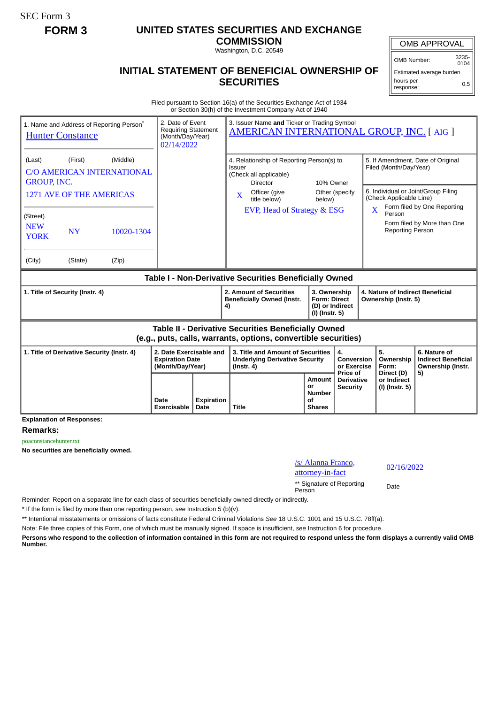SEC Form 3

## **FORM 3 UNITED STATES SECURITIES AND EXCHANGE**

**COMMISSION** Washington, D.C. 20549

## **INITIAL STATEMENT OF BENEFICIAL OWNERSHIP OF SECURITIES**

OMB Number: 3235-

Estimated average burden hours per response: 0.5

Filed pursuant to Section 16(a) of the Securities Exchange Act of 1934 or Section 30(h) of the Investment Company Act of 1940

| 1. Name and Address of Reporting Person*<br><b>Hunter Constance</b>                                                         |                     | 2. Date of Event<br>3. Issuer Name and Ticker or Trading Symbol<br><b>Requiring Statement</b><br><b>AMERICAN INTERNATIONAL GROUP, INC. [AIG ]</b><br>(Month/Day/Year)<br>02/14/2022 |                                                                                                                                                                                 |                                                                          |                                                  |                                                                                                                               |                                                                 |
|-----------------------------------------------------------------------------------------------------------------------------|---------------------|-------------------------------------------------------------------------------------------------------------------------------------------------------------------------------------|---------------------------------------------------------------------------------------------------------------------------------------------------------------------------------|--------------------------------------------------------------------------|--------------------------------------------------|-------------------------------------------------------------------------------------------------------------------------------|-----------------------------------------------------------------|
| (Middle)<br>(Last)<br>(First)<br><b>C/O AMERICAN INTERNATIONAL</b><br><b>GROUP, INC.</b><br><b>1271 AVE OF THE AMERICAS</b> |                     |                                                                                                                                                                                     | 4. Relationship of Reporting Person(s) to<br><b>Issuer</b><br>(Check all applicable)<br>10% Owner<br>Director<br>Other (specify<br>Officer (give<br>X<br>title below)<br>below) |                                                                          |                                                  | 5. If Amendment, Date of Original<br>Filed (Month/Day/Year)<br>6. Individual or Joint/Group Filing<br>(Check Applicable Line) |                                                                 |
| (Street)<br><b>NEW</b><br><b>NY</b><br>10020-1304<br><b>YORK</b><br>(Zip)<br>(City)<br>(State)                              |                     |                                                                                                                                                                                     | EVP, Head of Strategy & ESG                                                                                                                                                     |                                                                          |                                                  | $\mathbf{X}$<br>Person<br><b>Reporting Person</b>                                                                             | Form filed by One Reporting<br>Form filed by More than One      |
| Table I - Non-Derivative Securities Beneficially Owned                                                                      |                     |                                                                                                                                                                                     |                                                                                                                                                                                 |                                                                          |                                                  |                                                                                                                               |                                                                 |
| 1. Title of Security (Instr. 4)                                                                                             |                     |                                                                                                                                                                                     | 2. Amount of Securities<br><b>Beneficially Owned (Instr.</b><br>4)                                                                                                              | 3. Ownership<br><b>Form: Direct</b><br>(D) or Indirect<br>(I) (Instr. 5) |                                                  | 4. Nature of Indirect Beneficial<br>Ownership (Instr. 5)                                                                      |                                                                 |
| Table II - Derivative Securities Beneficially Owned<br>(e.g., puts, calls, warrants, options, convertible securities)       |                     |                                                                                                                                                                                     |                                                                                                                                                                                 |                                                                          |                                                  |                                                                                                                               |                                                                 |
| 2. Date Exercisable and<br>1. Title of Derivative Security (Instr. 4)<br><b>Expiration Date</b><br>(Month/Day/Year)         |                     |                                                                                                                                                                                     | 3. Title and Amount of Securities<br><b>Underlying Derivative Security</b><br>$($ lnstr. 4 $)$                                                                                  |                                                                          | 4.<br>Conversion<br>or Exercise                  | 5.<br>Ownership<br>Form:                                                                                                      | 6. Nature of<br><b>Indirect Beneficial</b><br>Ownership (Instr. |
| <b>Explanation of Responses:</b>                                                                                            | Date<br>Exercisable | <b>Expiration</b><br>Date                                                                                                                                                           | <b>Title</b>                                                                                                                                                                    | Amount<br>or<br><b>Number</b><br>οf<br><b>Shares</b>                     | Price of<br><b>Derivative</b><br><b>Security</b> | Direct (D)<br>or Indirect<br>(I) (Instr. 5)                                                                                   | 5)                                                              |

**Remarks:**

poaconstancehunter.txt

**No securities are beneficially owned.**

/s/ Alanna Franco,  $\frac{1}{2}$  attorney-in-fact  $\frac{02}{16}$ 

\*\* Signature of Reporting Person Date

Reminder: Report on a separate line for each class of securities beneficially owned directly or indirectly.

\* If the form is filed by more than one reporting person, *see* Instruction 5 (b)(v).

\*\* Intentional misstatements or omissions of facts constitute Federal Criminal Violations *See* 18 U.S.C. 1001 and 15 U.S.C. 78ff(a).

Note: File three copies of this Form, one of which must be manually signed. If space is insufficient, *see* Instruction 6 for procedure.

**Persons who respond to the collection of information contained in this form are not required to respond unless the form displays a currently valid OMB Number.**

OMB APPROVAL  $0104$